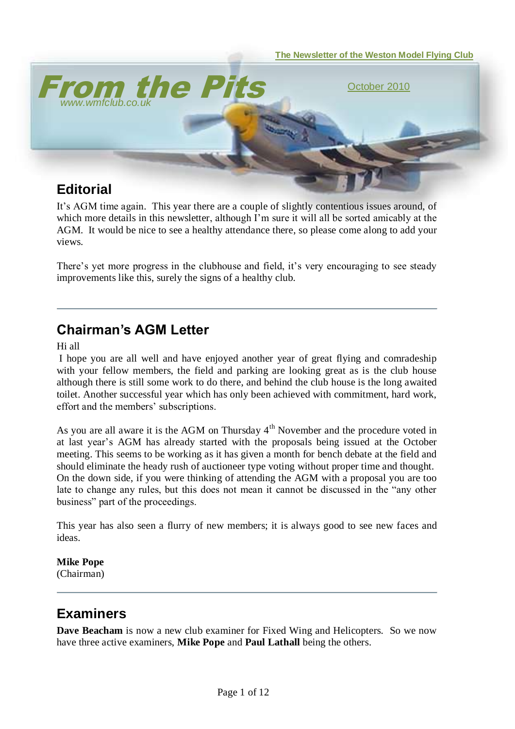

It"s AGM time again. This year there are a couple of slightly contentious issues around, of which more details in this newsletter, although I'm sure it will all be sorted amicably at the AGM. It would be nice to see a healthy attendance there, so please come along to add your views.

There's yet more progress in the clubhouse and field, it's very encouraging to see steady improvements like this, surely the signs of a healthy club.

### **Chairman's AGM Letter**

Hi all

I hope you are all well and have enjoyed another year of great flying and comradeship with your fellow members, the field and parking are looking great as is the club house although there is still some work to do there, and behind the club house is the long awaited toilet. Another successful year which has only been achieved with commitment, hard work, effort and the members' subscriptions.

As you are all aware it is the AGM on Thursday 4<sup>th</sup> November and the procedure voted in at last year"s AGM has already started with the proposals being issued at the October meeting. This seems to be working as it has given a month for bench debate at the field and should eliminate the heady rush of auctioneer type voting without proper time and thought. On the down side, if you were thinking of attending the AGM with a proposal you are too late to change any rules, but this does not mean it cannot be discussed in the "any other business" part of the proceedings.

This year has also seen a flurry of new members; it is always good to see new faces and ideas.

# **Mike Pope**

(Chairman)

## **Examiners**

**Dave Beacham** is now a new club examiner for Fixed Wing and Helicopters. So we now have three active examiners, **Mike Pope** and **Paul Lathall** being the others.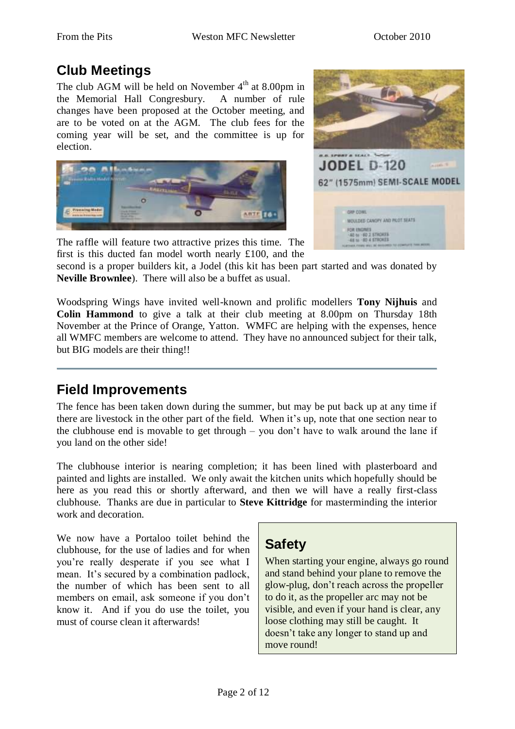## **Club Meetings**

The club AGM will be held on November  $4<sup>th</sup>$  at 8.00pm in the Memorial Hall Congresbury. A number of rule changes have been proposed at the October meeting, and are to be voted on at the AGM. The club fees for the coming year will be set, and the committee is up for election.





The raffle will feature two attractive prizes this time. The first is this ducted fan model worth nearly £100, and the

second is a proper builders kit, a Jodel (this kit has been part started and was donated by **Neville Brownlee**). There will also be a buffet as usual.

Woodspring Wings have invited well-known and prolific modellers **Tony Nijhuis** and **Colin Hammond** to give a talk at their club meeting at 8.00pm on Thursday 18th November at the Prince of Orange, Yatton. WMFC are helping with the expenses, hence all WMFC members are welcome to attend. They have no announced subject for their talk, but BIG models are their thing!!

# **Field Improvements**

The fence has been taken down during the summer, but may be put back up at any time if there are livestock in the other part of the field. When it"s up, note that one section near to the clubhouse end is movable to get through – you don"t have to walk around the lane if you land on the other side!

The clubhouse interior is nearing completion; it has been lined with plasterboard and painted and lights are installed. We only await the kitchen units which hopefully should be here as you read this or shortly afterward, and then we will have a really first-class clubhouse. Thanks are due in particular to **Steve Kittridge** for masterminding the interior work and decoration.

We now have a Portaloo toilet behind the clubhouse, for the use of ladies and for when you"re really desperate if you see what I mean. It's secured by a combination padlock, the number of which has been sent to all members on email, ask someone if you don"t know it. And if you do use the toilet, you must of course clean it afterwards!

## **Safety**

When starting your engine, always go round and stand behind your plane to remove the glow-plug, don"t reach across the propeller to do it, as the propeller arc may not be visible, and even if your hand is clear, any loose clothing may still be caught. It doesn"t take any longer to stand up and move round!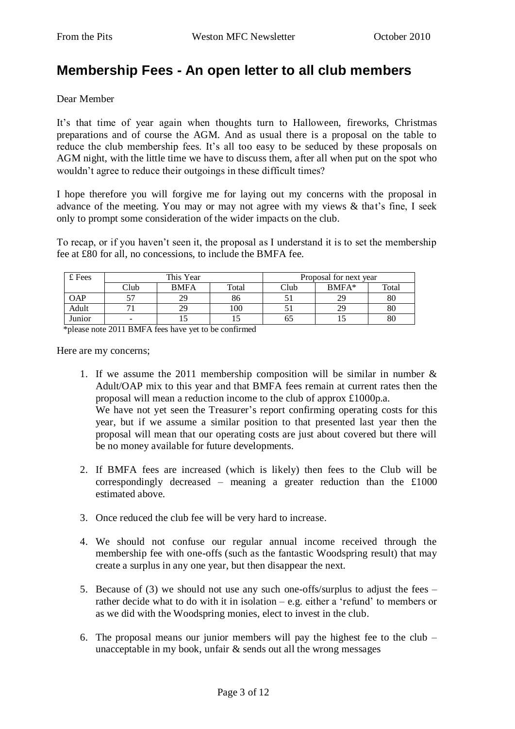### **Membership Fees - An open letter to all club members**

Dear Member

It's that time of year again when thoughts turn to Halloween, fireworks, Christmas preparations and of course the AGM. And as usual there is a proposal on the table to reduce the club membership fees. It's all too easy to be seduced by these proposals on AGM night, with the little time we have to discuss them, after all when put on the spot who wouldn"t agree to reduce their outgoings in these difficult times?

I hope therefore you will forgive me for laying out my concerns with the proposal in advance of the meeting. You may or may not agree with my views  $\&$  that's fine, I seek only to prompt some consideration of the wider impacts on the club.

To recap, or if you haven't seen it, the proposal as I understand it is to set the membership fee at £80 for all, no concessions, to include the BMFA fee.

| £ Fees     | This Year |             |       | Proposal for next year |         |       |
|------------|-----------|-------------|-------|------------------------|---------|-------|
|            | Club      | <b>BMFA</b> | Total | Club                   | $BMFA*$ | Total |
| <b>OAP</b> |           | 29          | 86    |                        | 29      | 80    |
| Adult      |           |             | 100   |                        | 29      | 80    |
| Junior     | -         |             |       | ნა                     |         | 80    |

\*please note 2011 BMFA fees have yet to be confirmed

Here are my concerns;

1. If we assume the 2011 membership composition will be similar in number & Adult/OAP mix to this year and that BMFA fees remain at current rates then the proposal will mean a reduction income to the club of approx £1000p.a. We have not yet seen the Treasurer's report confirming operating costs for this year, but if we assume a similar position to that presented last year then the proposal will mean that our operating costs are just about covered but there will

be no money available for future developments.

- 2. If BMFA fees are increased (which is likely) then fees to the Club will be correspondingly decreased – meaning a greater reduction than the  $£1000$ estimated above.
- 3. Once reduced the club fee will be very hard to increase.
- 4. We should not confuse our regular annual income received through the membership fee with one-offs (such as the fantastic Woodspring result) that may create a surplus in any one year, but then disappear the next.
- 5. Because of (3) we should not use any such one-offs/surplus to adjust the fees rather decide what to do with it in isolation – e.g. either a "refund" to members or as we did with the Woodspring monies, elect to invest in the club.
- 6. The proposal means our junior members will pay the highest fee to the club unacceptable in my book, unfair & sends out all the wrong messages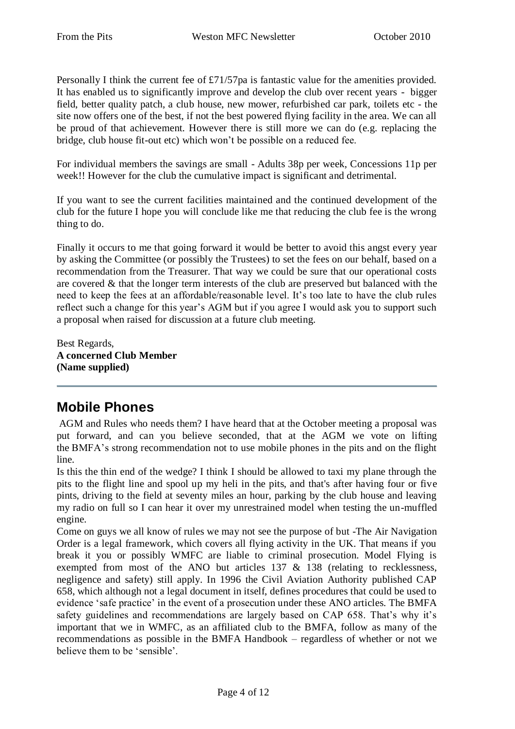Personally I think the current fee of £71/57pa is fantastic value for the amenities provided. It has enabled us to significantly improve and develop the club over recent years - bigger field, better quality patch, a club house, new mower, refurbished car park, toilets etc - the site now offers one of the best, if not the best powered flying facility in the area. We can all be proud of that achievement. However there is still more we can do (e.g. replacing the bridge, club house fit-out etc) which won"t be possible on a reduced fee.

For individual members the savings are small - Adults 38p per week, Concessions 11p per week!! However for the club the cumulative impact is significant and detrimental.

If you want to see the current facilities maintained and the continued development of the club for the future I hope you will conclude like me that reducing the club fee is the wrong thing to do.

Finally it occurs to me that going forward it would be better to avoid this angst every year by asking the Committee (or possibly the Trustees) to set the fees on our behalf, based on a recommendation from the Treasurer. That way we could be sure that our operational costs are covered & that the longer term interests of the club are preserved but balanced with the need to keep the fees at an affordable/reasonable level. It's too late to have the club rules reflect such a change for this year"s AGM but if you agree I would ask you to support such a proposal when raised for discussion at a future club meeting.

Best Regards, **A concerned Club Member (Name supplied)**

## **Mobile Phones**

AGM and Rules who needs them? I have heard that at the October meeting a proposal was put forward, and can you believe seconded, that at the AGM we vote on lifting the BMFA"s strong recommendation not to use mobile phones in the pits and on the flight line.

Is this the thin end of the wedge? I think I should be allowed to taxi my plane through the pits to the flight line and spool up my heli in the pits, and that's after having four or five pints, driving to the field at seventy miles an hour, parking by the club house and leaving my radio on full so I can hear it over my unrestrained model when testing the un-muffled engine.

Come on guys we all know of rules we may not see the purpose of but -The Air Navigation Order is a legal framework, which covers all flying activity in the UK. That means if you break it you or possibly WMFC are liable to criminal prosecution. Model Flying is exempted from most of the ANO but articles 137 & 138 (relating to recklessness, negligence and safety) still apply. In 1996 the Civil Aviation Authority published CAP 658, which although not a legal document in itself, defines procedures that could be used to evidence 'safe practice' in the event of a prosecution under these ANO articles. The BMFA safety guidelines and recommendations are largely based on CAP 658. That's why it's important that we in WMFC, as an affiliated club to the BMFA, follow as many of the recommendations as possible in the BMFA Handbook – regardless of whether or not we believe them to be "sensible".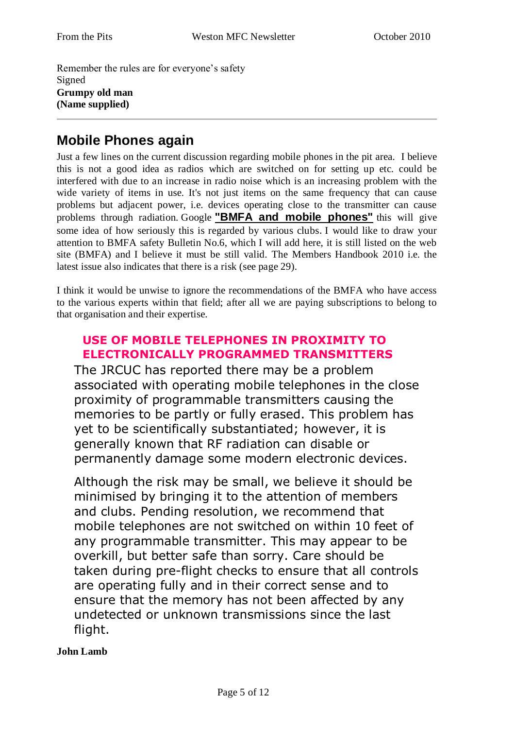Remember the rules are for everyone"s safety Signed **Grumpy old man (Name supplied)**

### **Mobile Phones again**

Just a few lines on the current discussion regarding mobile phones in the pit area. I believe this is not a good idea as radios which are switched on for setting up etc. could be interfered with due to an increase in radio noise which is an increasing problem with the wide variety of items in use. It's not just items on the same frequency that can cause problems but adjacent power, i.e. devices operating close to the transmitter can cause problems through radiation. Google **"BMFA and mobile phones"** this will give some idea of how seriously this is regarded by various clubs. I would like to draw your attention to BMFA safety Bulletin No.6, which I will add here, it is still listed on the web site (BMFA) and I believe it must be still valid. The Members Handbook 2010 i.e. the latest issue also indicates that there is a risk (see page 29).

I think it would be unwise to ignore the recommendations of the BMFA who have access to the various experts within that field; after all we are paying subscriptions to belong to that organisation and their expertise.

### **USE OF MOBILE TELEPHONES IN PROXIMITY TO ELECTRONICALLY PROGRAMMED TRANSMITTERS**

The JRCUC has reported there may be a problem associated with operating mobile telephones in the close proximity of programmable transmitters causing the memories to be partly or fully erased. This problem has yet to be scientifically substantiated; however, it is generally known that RF radiation can disable or permanently damage some modern electronic devices.

Although the risk may be small, we believe it should be minimised by bringing it to the attention of members and clubs. Pending resolution, we recommend that mobile telephones are not switched on within 10 feet of any programmable transmitter. This may appear to be overkill, but better safe than sorry. Care should be taken during pre-flight checks to ensure that all controls are operating fully and in their correct sense and to ensure that the memory has not been affected by any undetected or unknown transmissions since the last flight.

**John Lamb**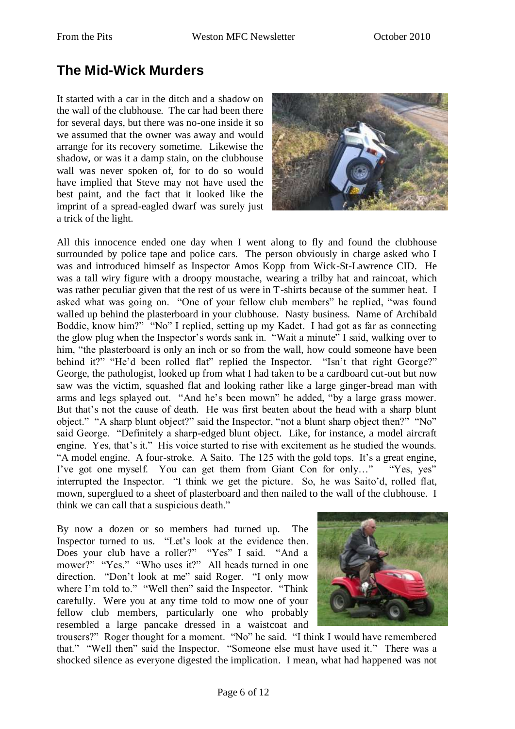### **The Mid-Wick Murders**

It started with a car in the ditch and a shadow on the wall of the clubhouse. The car had been there for several days, but there was no-one inside it so we assumed that the owner was away and would arrange for its recovery sometime. Likewise the shadow, or was it a damp stain, on the clubhouse wall was never spoken of, for to do so would have implied that Steve may not have used the best paint, and the fact that it looked like the imprint of a spread-eagled dwarf was surely just a trick of the light.



All this innocence ended one day when I went along to fly and found the clubhouse surrounded by police tape and police cars. The person obviously in charge asked who I was and introduced himself as Inspector Amos Kopp from Wick-St-Lawrence CID. He was a tall wiry figure with a droopy moustache, wearing a trilby hat and raincoat, which was rather peculiar given that the rest of us were in T-shirts because of the summer heat. I asked what was going on. "One of your fellow club members" he replied, "was found walled up behind the plasterboard in your clubhouse. Nasty business. Name of Archibald Boddie, know him?" "No" I replied, setting up my Kadet. I had got as far as connecting the glow plug when the Inspector"s words sank in. "Wait a minute" I said, walking over to him, "the plasterboard is only an inch or so from the wall, how could someone have been behind it?" "He'd been rolled flat" replied the Inspector. "Isn't that right George?" George, the pathologist, looked up from what I had taken to be a cardboard cut-out but now saw was the victim, squashed flat and looking rather like a large ginger-bread man with arms and legs splayed out. "And he's been mown" he added, "by a large grass mower. But that"s not the cause of death. He was first beaten about the head with a sharp blunt object." "A sharp blunt object?" said the Inspector, "not a blunt sharp object then?" "No" said George. "Definitely a sharp-edged blunt object. Like, for instance, a model aircraft engine. Yes, that's it." His voice started to rise with excitement as he studied the wounds. "A model engine. A four-stroke. A Saito. The 125 with the gold tops. It's a great engine, I've got one myself. You can get them from Giant Con for only..." "Yes, yes" interrupted the Inspector. "I think we get the picture. So, he was Saito"d, rolled flat, mown, superglued to a sheet of plasterboard and then nailed to the wall of the clubhouse. I think we can call that a suspicious death."

By now a dozen or so members had turned up. The Inspector turned to us. "Let"s look at the evidence then. Does your club have a roller?" "Yes" I said. "And a mower?" "Yes." "Who uses it?" All heads turned in one direction. "Don"t look at me" said Roger. "I only mow where I'm told to." "Well then" said the Inspector. "Think carefully. Were you at any time told to mow one of your fellow club members, particularly one who probably resembled a large pancake dressed in a waistcoat and



trousers?" Roger thought for a moment. "No" he said. "I think I would have remembered that." "Well then" said the Inspector. "Someone else must have used it." There was a shocked silence as everyone digested the implication. I mean, what had happened was not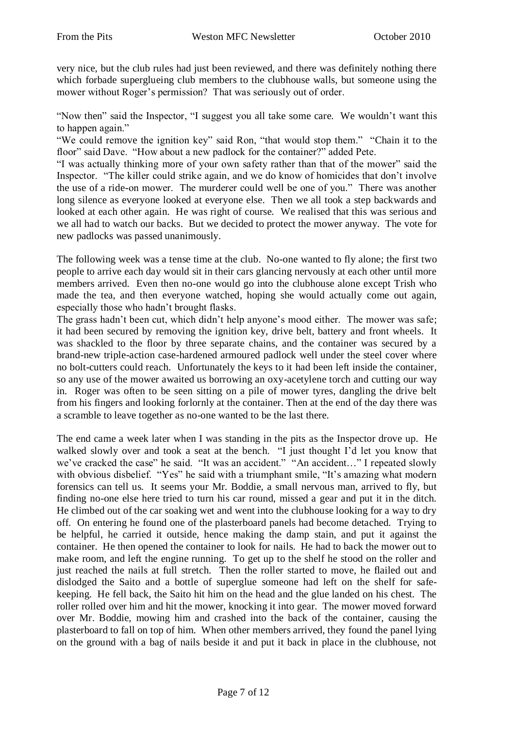very nice, but the club rules had just been reviewed, and there was definitely nothing there which forbade superglueing club members to the clubhouse walls, but someone using the mower without Roger's permission? That was seriously out of order.

"Now then" said the Inspector, "I suggest you all take some care. We wouldn"t want this to happen again."

"We could remove the ignition key" said Ron, "that would stop them." "Chain it to the floor" said Dave. "How about a new padlock for the container?" added Pete.

"I was actually thinking more of your own safety rather than that of the mower" said the Inspector. "The killer could strike again, and we do know of homicides that don"t involve the use of a ride-on mower. The murderer could well be one of you." There was another long silence as everyone looked at everyone else. Then we all took a step backwards and looked at each other again. He was right of course. We realised that this was serious and we all had to watch our backs. But we decided to protect the mower anyway. The vote for new padlocks was passed unanimously.

The following week was a tense time at the club. No-one wanted to fly alone; the first two people to arrive each day would sit in their cars glancing nervously at each other until more members arrived. Even then no-one would go into the clubhouse alone except Trish who made the tea, and then everyone watched, hoping she would actually come out again, especially those who hadn"t brought flasks.

The grass hadn't been cut, which didn't help anyone's mood either. The mower was safe; it had been secured by removing the ignition key, drive belt, battery and front wheels. It was shackled to the floor by three separate chains, and the container was secured by a brand-new triple-action case-hardened armoured padlock well under the steel cover where no bolt-cutters could reach. Unfortunately the keys to it had been left inside the container, so any use of the mower awaited us borrowing an oxy-acetylene torch and cutting our way in. Roger was often to be seen sitting on a pile of mower tyres, dangling the drive belt from his fingers and looking forlornly at the container. Then at the end of the day there was a scramble to leave together as no-one wanted to be the last there.

The end came a week later when I was standing in the pits as the Inspector drove up. He walked slowly over and took a seat at the bench. "I just thought I'd let you know that we've cracked the case" he said. "It was an accident." "An accident..." I repeated slowly with obvious disbelief. "Yes" he said with a triumphant smile, "It's amazing what modern forensics can tell us. It seems your Mr. Boddie, a small nervous man, arrived to fly, but finding no-one else here tried to turn his car round, missed a gear and put it in the ditch. He climbed out of the car soaking wet and went into the clubhouse looking for a way to dry off. On entering he found one of the plasterboard panels had become detached. Trying to be helpful, he carried it outside, hence making the damp stain, and put it against the container. He then opened the container to look for nails. He had to back the mower out to make room, and left the engine running. To get up to the shelf he stood on the roller and just reached the nails at full stretch. Then the roller started to move, he flailed out and dislodged the Saito and a bottle of superglue someone had left on the shelf for safekeeping. He fell back, the Saito hit him on the head and the glue landed on his chest. The roller rolled over him and hit the mower, knocking it into gear. The mower moved forward over Mr. Boddie, mowing him and crashed into the back of the container, causing the plasterboard to fall on top of him. When other members arrived, they found the panel lying on the ground with a bag of nails beside it and put it back in place in the clubhouse, not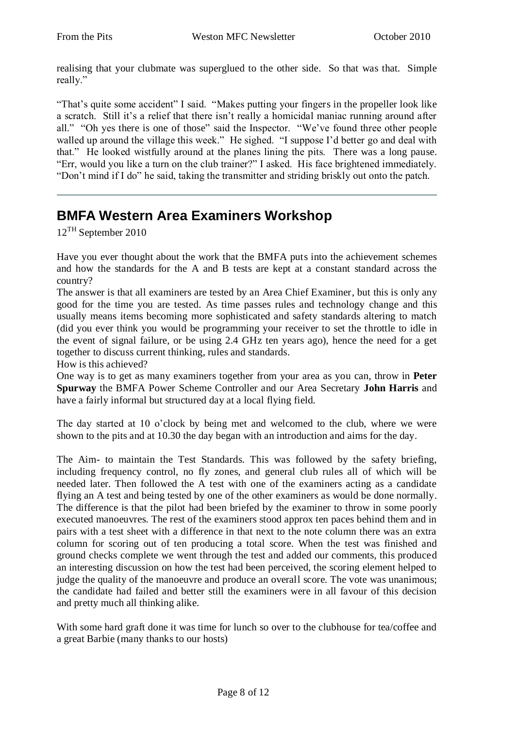realising that your clubmate was superglued to the other side. So that was that. Simple really."

"That's quite some accident" I said. "Makes putting your fingers in the propeller look like a scratch. Still it's a relief that there isn't really a homicidal maniac running around after all." "Oh yes there is one of those" said the Inspector. "We"ve found three other people walled up around the village this week." He sighed. "I suppose I'd better go and deal with that." He looked wistfully around at the planes lining the pits. There was a long pause. "Err, would you like a turn on the club trainer?" I asked. His face brightened immediately. "Don"t mind if I do" he said, taking the transmitter and striding briskly out onto the patch.

## **BMFA Western Area Examiners Workshop**

12TH September 2010

Have you ever thought about the work that the BMFA puts into the achievement schemes and how the standards for the A and B tests are kept at a constant standard across the country?

The answer is that all examiners are tested by an Area Chief Examiner, but this is only any good for the time you are tested. As time passes rules and technology change and this usually means items becoming more sophisticated and safety standards altering to match (did you ever think you would be programming your receiver to set the throttle to idle in the event of signal failure, or be using 2.4 GHz ten years ago), hence the need for a get together to discuss current thinking, rules and standards.

How is this achieved?

One way is to get as many examiners together from your area as you can, throw in **Peter Spurway** the BMFA Power Scheme Controller and our Area Secretary **John Harris** and have a fairly informal but structured day at a local flying field.

The day started at 10 o'clock by being met and welcomed to the club, where we were shown to the pits and at 10.30 the day began with an introduction and aims for the day.

The Aim- to maintain the Test Standards. This was followed by the safety briefing, including frequency control, no fly zones, and general club rules all of which will be needed later. Then followed the A test with one of the examiners acting as a candidate flying an A test and being tested by one of the other examiners as would be done normally. The difference is that the pilot had been briefed by the examiner to throw in some poorly executed manoeuvres. The rest of the examiners stood approx ten paces behind them and in pairs with a test sheet with a difference in that next to the note column there was an extra column for scoring out of ten producing a total score. When the test was finished and ground checks complete we went through the test and added our comments, this produced an interesting discussion on how the test had been perceived, the scoring element helped to judge the quality of the manoeuvre and produce an overall score. The vote was unanimous; the candidate had failed and better still the examiners were in all favour of this decision and pretty much all thinking alike.

With some hard graft done it was time for lunch so over to the clubhouse for tea/coffee and a great Barbie (many thanks to our hosts)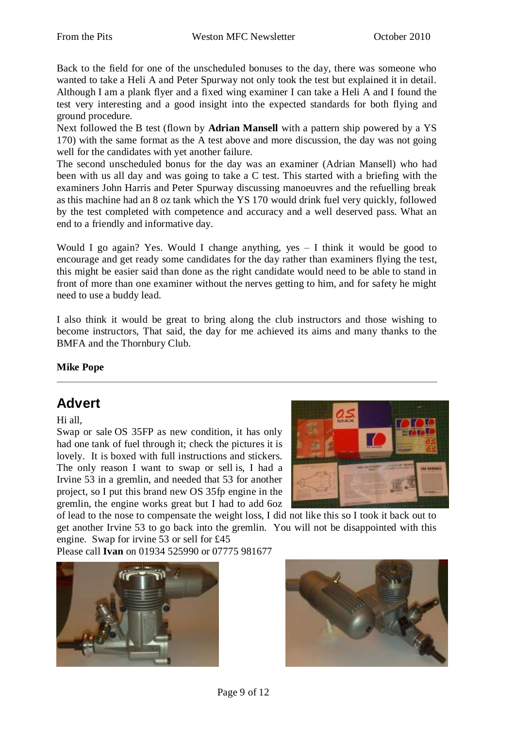Back to the field for one of the unscheduled bonuses to the day, there was someone who wanted to take a Heli A and Peter Spurway not only took the test but explained it in detail. Although I am a plank flyer and a fixed wing examiner I can take a Heli A and I found the test very interesting and a good insight into the expected standards for both flying and ground procedure.

Next followed the B test (flown by **Adrian Mansell** with a pattern ship powered by a YS 170) with the same format as the A test above and more discussion, the day was not going well for the candidates with yet another failure.

The second unscheduled bonus for the day was an examiner (Adrian Mansell) who had been with us all day and was going to take a C test. This started with a briefing with the examiners John Harris and Peter Spurway discussing manoeuvres and the refuelling break as this machine had an 8 oz tank which the YS 170 would drink fuel very quickly, followed by the test completed with competence and accuracy and a well deserved pass. What an end to a friendly and informative day.

Would I go again? Yes. Would I change anything, yes – I think it would be good to encourage and get ready some candidates for the day rather than examiners flying the test, this might be easier said than done as the right candidate would need to be able to stand in front of more than one examiner without the nerves getting to him, and for safety he might need to use a buddy lead.

I also think it would be great to bring along the club instructors and those wishing to become instructors, That said, the day for me achieved its aims and many thanks to the BMFA and the Thornbury Club.

#### **Mike Pope**

### **Advert**

Hi all,

Swap or sale OS 35FP as new condition, it has only had one tank of fuel through it; check the pictures it is lovely. It is boxed with full instructions and stickers. The only reason I want to swap or sell is, I had a Irvine 53 in a gremlin, and needed that 53 for another project, so I put this brand new OS 35fp engine in the gremlin, the engine works great but I had to add 6oz



of lead to the nose to compensate the weight loss, I did not like this so I took it back out to get another Irvine 53 to go back into the gremlin. You will not be disappointed with this engine. Swap for irvine 53 or sell for £45

Please call **Ivan** on 01934 525990 or 07775 981677



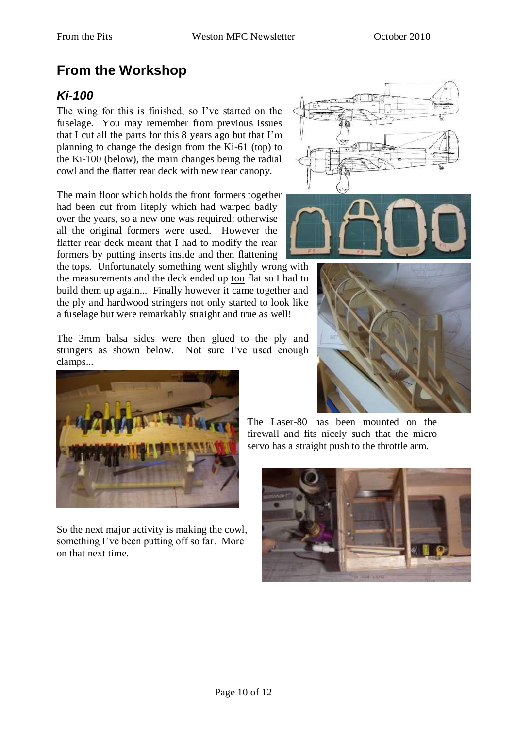# **From the Workshop**

### *Ki-100*

The wing for this is finished, so I"ve started on the fuselage. You may remember from previous issues that I cut all the parts for this 8 years ago but that I"m planning to change the design from the Ki-61 (top) to the Ki-100 (below), the main changes being the radial cowl and the flatter rear deck with new rear canopy.

The main floor which holds the front formers together had been cut from liteply which had warped badly over the years, so a new one was required; otherwise all the original formers were used. However the flatter rear deck meant that I had to modify the rear formers by putting inserts inside and then flattening

the tops. Unfortunately something went slightly wrong with the measurements and the deck ended up too flat so I had to build them up again... Finally however it came together and the ply and hardwood stringers not only started to look like a fuselage but were remarkably straight and true as well!

The 3mm balsa sides were then glued to the ply and stringers as shown below. Not sure I've used enough clamps...



So the next major activity is making the cowl, something I've been putting off so far. More on that next time.







The Laser-80 has been mounted on the firewall and fits nicely such that the micro servo has a straight push to the throttle arm.

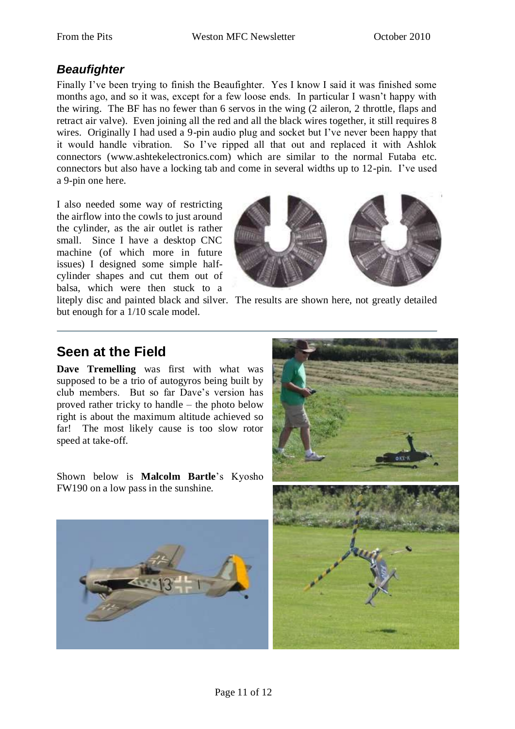### *Beaufighter*

Finally I've been trying to finish the Beaufighter. Yes I know I said it was finished some months ago, and so it was, except for a few loose ends. In particular I wasn"t happy with the wiring. The BF has no fewer than 6 servos in the wing (2 aileron, 2 throttle, flaps and retract air valve). Even joining all the red and all the black wires together, it still requires 8 wires. Originally I had used a 9-pin audio plug and socket but I've never been happy that it would handle vibration. So I"ve ripped all that out and replaced it with Ashlok connectors (www.ashtekelectronics.com) which are similar to the normal Futaba etc. connectors but also have a locking tab and come in several widths up to 12-pin. I"ve used a 9-pin one here.

I also needed some way of restricting the airflow into the cowls to just around the cylinder, as the air outlet is rather small. Since I have a desktop CNC machine (of which more in future issues) I designed some simple halfcylinder shapes and cut them out of balsa, which were then stuck to a



liteply disc and painted black and silver. The results are shown here, not greatly detailed

### **Seen at the Field**

but enough for a 1/10 scale model.

**Dave Tremelling** was first with what was supposed to be a trio of autogyros being built by club members. But so far Dave"s version has proved rather tricky to handle – the photo below right is about the maximum altitude achieved so far! The most likely cause is too slow rotor speed at take-off.

Shown below is **Malcolm Bartle**"s Kyosho FW190 on a low pass in the sunshine.